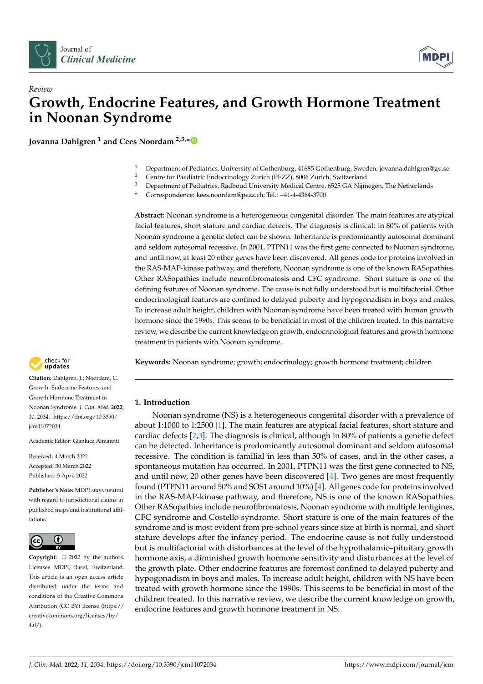



# *Review* **Growth, Endocrine Features, and Growth Hormone Treatment in Noonan Syndrome**

**Jovanna Dahlgren <sup>1</sup> and Cees Noordam 2,3,[\\*](https://orcid.org/0000-0001-9735-5921)**

- <sup>1</sup> Department of Pediatrics, University of Gothenburg, 41685 Gothenburg, Sweden; jovanna.dahlgren@gu.se
- <sup>2</sup> Centre for Paediatric Endocrinology Zurich (PEZZ), 8006 Zurich, Switzerland<br><sup>3</sup> Department of Padiatrics, Padhoud University Modical Centre, 6525 C A Nijm
- <sup>3</sup> Department of Pediatrics, Radboud University Medical Centre, 6525 GA Nijmegen, The Netherlands
- **\*** Correspondence: kees.noordam@pezz.ch; Tel.: +41-4-4364-3700

**Abstract:** Noonan syndrome is a heterogeneous congenital disorder. The main features are atypical facial features, short stature and cardiac defects. The diagnosis is clinical: in 80% of patients with Noonan syndrome a genetic defect can be shown. Inheritance is predominantly autosomal dominant and seldom autosomal recessive. In 2001, PTPN11 was the first gene connected to Noonan syndrome, and until now, at least 20 other genes have been discovered. All genes code for proteins involved in the RAS-MAP-kinase pathway, and therefore, Noonan syndrome is one of the known RASopathies. Other RASopathies include neurofibromatosis and CFC syndrome. Short stature is one of the defining features of Noonan syndrome. The cause is not fully understood but is multifactorial. Other endocrinological features are confined to delayed puberty and hypogonadism in boys and males. To increase adult height, children with Noonan syndrome have been treated with human growth hormone since the 1990s. This seems to be beneficial in most of the children treated. In this narrative review, we describe the current knowledge on growth, endocrinological features and growth hormone treatment in patients with Noonan syndrome.



# **1. Introduction**

Noonan syndrome (NS) is a heterogeneous congenital disorder with a prevalence of about 1:1000 to 1:2500 [\[1\]](#page-5-0). The main features are atypical facial features, short stature and cardiac defects [\[2,](#page-5-1)[3\]](#page-5-2). The diagnosis is clinical, although in 80% of patients a genetic defect can be detected. Inheritance is predominantly autosomal dominant and seldom autosomal recessive. The condition is familial in less than 50% of cases, and in the other cases, a spontaneous mutation has occurred. In 2001, PTPN11 was the first gene connected to NS, and until now, 20 other genes have been discovered [\[4\]](#page-5-3). Two genes are most frequently found (PTPN11 around 50% and SOS1 around 10%) [\[4\]](#page-5-3). All genes code for proteins involved in the RAS-MAP-kinase pathway, and therefore, NS is one of the known RASopathies. Other RASopathies include neurofibromatosis, Noonan syndrome with multiple lentigines, CFC syndrome and Costello syndrome. Short stature is one of the main features of the syndrome and is most evident from pre-school years since size at birth is normal, and short stature develops after the infancy period. The endocrine cause is not fully understood but is multifactorial with disturbances at the level of the hypothalamic–pituitary growth hormone axis, a diminished growth hormone sensitivity and disturbances at the level of the growth plate. Other endocrine features are foremost confined to delayed puberty and hypogonadism in boys and males. To increase adult height, children with NS have been treated with growth hormone since the 1990s. This seems to be beneficial in most of the children treated. In this narrative review, we describe the current knowledge on growth, endocrine features and growth hormone treatment in NS.



**Citation:** Dahlgren, J.; Noordam, C. Growth, Endocrine Features, and Growth Hormone Treatment in Noonan Syndrome. *J. Clin. Med.* **2022**, *11*, 2034. [https://doi.org/10.3390/](https://doi.org/10.3390/jcm11072034) [jcm11072034](https://doi.org/10.3390/jcm11072034)

Academic Editor: Gianluca Aimaretti

Received: 4 March 2022 Accepted: 30 March 2022 Published: 5 April 2022

**Publisher's Note:** MDPI stays neutral with regard to jurisdictional claims in published maps and institutional affiliations.



**Copyright:** © 2022 by the authors. Licensee MDPI, Basel, Switzerland. This article is an open access article distributed under the terms and conditions of the Creative Commons Attribution (CC BY) license [\(https://](https://creativecommons.org/licenses/by/4.0/) [creativecommons.org/licenses/by/](https://creativecommons.org/licenses/by/4.0/)  $4.0/$ ).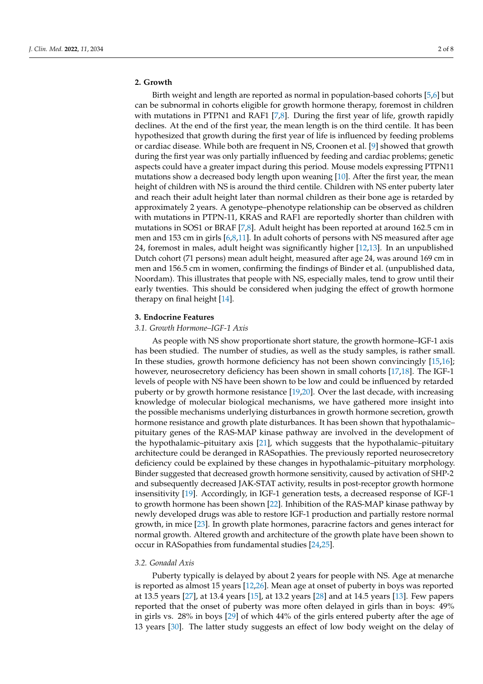# **2. Growth**

Birth weight and length are reported as normal in population-based cohorts [\[5](#page-5-4)[,6\]](#page-5-5) but can be subnormal in cohorts eligible for growth hormone therapy, foremost in children with mutations in PTPN1 and RAF1 [\[7,](#page-5-6)[8\]](#page-5-7). During the first year of life, growth rapidly declines. At the end of the first year, the mean length is on the third centile. It has been hypothesized that growth during the first year of life is influenced by feeding problems or cardiac disease. While both are frequent in NS, Croonen et al. [\[9\]](#page-5-8) showed that growth during the first year was only partially influenced by feeding and cardiac problems; genetic aspects could have a greater impact during this period. Mouse models expressing PTPN11 mutations show a decreased body length upon weaning [\[10\]](#page-5-9). After the first year, the mean height of children with NS is around the third centile. Children with NS enter puberty later and reach their adult height later than normal children as their bone age is retarded by approximately 2 years. A genotype–phenotype relationship can be observed as children with mutations in PTPN-11, KRAS and RAF1 are reportedly shorter than children with mutations in SOS1 or BRAF [\[7,](#page-5-6)[8\]](#page-5-7). Adult height has been reported at around 162.5 cm in men and 153 cm in girls [\[6,](#page-5-5)[8,](#page-5-7)[11\]](#page-5-10). In adult cohorts of persons with NS measured after age 24, foremost in males, adult height was significantly higher [\[12](#page-5-11)[,13\]](#page-5-12). In an unpublished Dutch cohort (71 persons) mean adult height, measured after age 24, was around 169 cm in men and 156.5 cm in women, confirming the findings of Binder et al. (unpublished data, Noordam). This illustrates that people with NS, especially males, tend to grow until their early twenties. This should be considered when judging the effect of growth hormone therapy on final height [\[14\]](#page-5-13).

## **3. Endocrine Features**

#### *3.1. Growth Hormone–IGF-1 Axis*

As people with NS show proportionate short stature, the growth hormone–IGF-1 axis has been studied. The number of studies, as well as the study samples, is rather small. In these studies, growth hormone deficiency has not been shown convincingly [\[15,](#page-5-14)[16\]](#page-5-15); however, neurosecretory deficiency has been shown in small cohorts [\[17,](#page-5-16)[18\]](#page-5-17). The IGF-1 levels of people with NS have been shown to be low and could be influenced by retarded puberty or by growth hormone resistance [\[19](#page-5-18)[,20\]](#page-5-19). Over the last decade, with increasing knowledge of molecular biological mechanisms, we have gathered more insight into the possible mechanisms underlying disturbances in growth hormone secretion, growth hormone resistance and growth plate disturbances. It has been shown that hypothalamic– pituitary genes of the RAS-MAP kinase pathway are involved in the development of the hypothalamic–pituitary axis [\[21\]](#page-5-20), which suggests that the hypothalamic–pituitary architecture could be deranged in RASopathies. The previously reported neurosecretory deficiency could be explained by these changes in hypothalamic–pituitary morphology. Binder suggested that decreased growth hormone sensitivity, caused by activation of SHP-2 and subsequently decreased JAK-STAT activity, results in post-receptor growth hormone insensitivity [\[19\]](#page-5-18). Accordingly, in IGF-1 generation tests, a decreased response of IGF-1 to growth hormone has been shown [\[22\]](#page-5-21). Inhibition of the RAS-MAP kinase pathway by newly developed drugs was able to restore IGF-1 production and partially restore normal growth, in mice [\[23\]](#page-5-22). In growth plate hormones, paracrine factors and genes interact for normal growth. Altered growth and architecture of the growth plate have been shown to occur in RASopathies from fundamental studies [\[24](#page-5-23)[,25\]](#page-5-24).

## *3.2. Gonadal Axis*

Puberty typically is delayed by about 2 years for people with NS. Age at menarche is reported as almost 15 years [\[12,](#page-5-11)[26\]](#page-5-25). Mean age at onset of puberty in boys was reported at 13.5 years [\[27\]](#page-6-0), at 13.4 years [\[15\]](#page-5-14), at 13.2 years [\[28\]](#page-6-1) and at 14.5 years [\[13\]](#page-5-12). Few papers reported that the onset of puberty was more often delayed in girls than in boys: 49% in girls vs. 28% in boys [\[29\]](#page-6-2) of which 44% of the girls entered puberty after the age of 13 years [\[30\]](#page-6-3). The latter study suggests an effect of low body weight on the delay of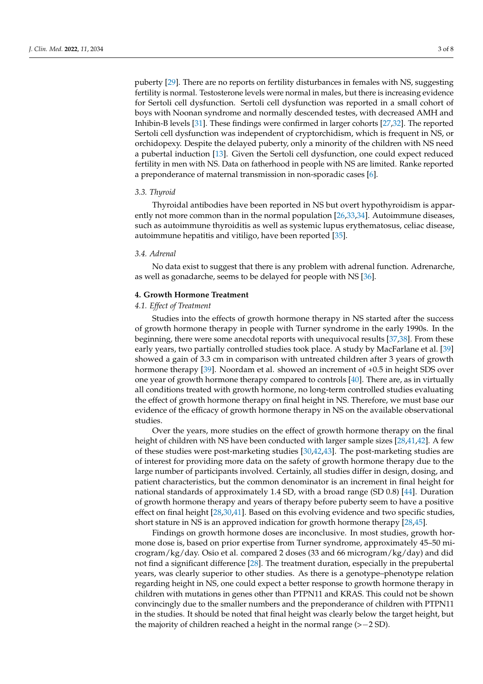puberty [\[29\]](#page-6-2). There are no reports on fertility disturbances in females with NS, suggesting fertility is normal. Testosterone levels were normal in males, but there is increasing evidence for Sertoli cell dysfunction. Sertoli cell dysfunction was reported in a small cohort of boys with Noonan syndrome and normally descended testes, with decreased AMH and Inhibin-B levels [\[31\]](#page-6-4). These findings were confirmed in larger cohorts [\[27](#page-6-0)[,32\]](#page-6-5). The reported Sertoli cell dysfunction was independent of cryptorchidism, which is frequent in NS, or orchidopexy. Despite the delayed puberty, only a minority of the children with NS need a pubertal induction [\[13\]](#page-5-12). Given the Sertoli cell dysfunction, one could expect reduced fertility in men with NS. Data on fatherhood in people with NS are limited. Ranke reported a preponderance of maternal transmission in non-sporadic cases [\[6\]](#page-5-5).

#### *3.3. Thyroid*

Thyroidal antibodies have been reported in NS but overt hypothyroidism is apparently not more common than in the normal population [\[26,](#page-5-25)[33,](#page-6-6)[34\]](#page-6-7). Autoimmune diseases, such as autoimmune thyroiditis as well as systemic lupus erythematosus, celiac disease, autoimmune hepatitis and vitiligo, have been reported [\[35\]](#page-6-8).

## *3.4. Adrenal*

No data exist to suggest that there is any problem with adrenal function. Adrenarche, as well as gonadarche, seems to be delayed for people with NS [\[36\]](#page-6-9).

#### **4. Growth Hormone Treatment**

# *4.1. Effect of Treatment*

Studies into the effects of growth hormone therapy in NS started after the success of growth hormone therapy in people with Turner syndrome in the early 1990s. In the beginning, there were some anecdotal reports with unequivocal results [\[37](#page-6-10)[,38\]](#page-6-11). From these early years, two partially controlled studies took place. A study by MacFarlane et al. [\[39\]](#page-6-12) showed a gain of 3.3 cm in comparison with untreated children after 3 years of growth hormone therapy [\[39\]](#page-6-12). Noordam et al. showed an increment of +0.5 in height SDS over one year of growth hormone therapy compared to controls [\[40\]](#page-6-13). There are, as in virtually all conditions treated with growth hormone, no long-term controlled studies evaluating the effect of growth hormone therapy on final height in NS. Therefore, we must base our evidence of the efficacy of growth hormone therapy in NS on the available observational studies.

Over the years, more studies on the effect of growth hormone therapy on the final height of children with NS have been conducted with larger sample sizes [\[28,](#page-6-1)[41,](#page-6-14)[42\]](#page-6-15). A few of these studies were post-marketing studies [\[30,](#page-6-3)[42,](#page-6-15)[43\]](#page-6-16). The post-marketing studies are of interest for providing more data on the safety of growth hormone therapy due to the large number of participants involved. Certainly, all studies differ in design, dosing, and patient characteristics, but the common denominator is an increment in final height for national standards of approximately 1.4 SD, with a broad range (SD 0.8) [\[44\]](#page-6-17). Duration of growth hormone therapy and years of therapy before puberty seem to have a positive effect on final height [\[28](#page-6-1)[,30](#page-6-3)[,41\]](#page-6-14). Based on this evolving evidence and two specific studies, short stature in NS is an approved indication for growth hormone therapy [\[28,](#page-6-1)[45\]](#page-6-18).

Findings on growth hormone doses are inconclusive. In most studies, growth hormone dose is, based on prior expertise from Turner syndrome, approximately 45–50 microgram/kg/day. Osio et al. compared 2 doses (33 and 66 microgram/kg/day) and did not find a significant difference [\[28\]](#page-6-1). The treatment duration, especially in the prepubertal years, was clearly superior to other studies. As there is a genotype–phenotype relation regarding height in NS, one could expect a better response to growth hormone therapy in children with mutations in genes other than PTPN11 and KRAS. This could not be shown convincingly due to the smaller numbers and the preponderance of children with PTPN11 in the studies. It should be noted that final height was clearly below the target height, but the majority of children reached a height in the normal range (>−2 SD).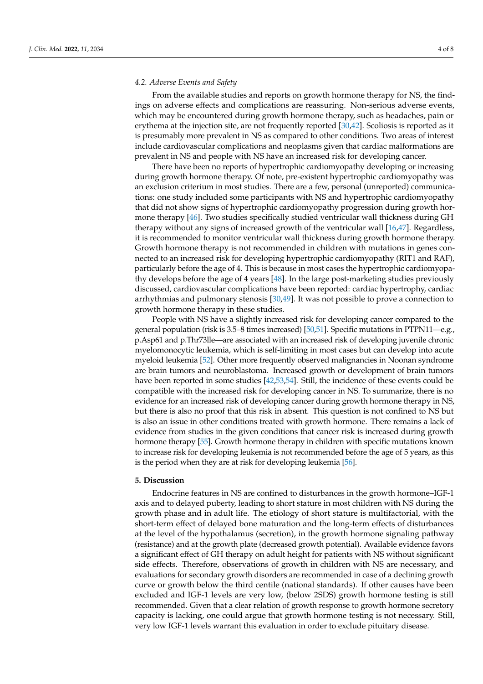# *4.2. Adverse Events and Safety*

From the available studies and reports on growth hormone therapy for NS, the findings on adverse effects and complications are reassuring. Non-serious adverse events, which may be encountered during growth hormone therapy, such as headaches, pain or erythema at the injection site, are not frequently reported [\[30](#page-6-3)[,42\]](#page-6-15). Scoliosis is reported as it is presumably more prevalent in NS as compared to other conditions. Two areas of interest include cardiovascular complications and neoplasms given that cardiac malformations are prevalent in NS and people with NS have an increased risk for developing cancer.

There have been no reports of hypertrophic cardiomyopathy developing or increasing during growth hormone therapy. Of note, pre-existent hypertrophic cardiomyopathy was an exclusion criterium in most studies. There are a few, personal (unreported) communications: one study included some participants with NS and hypertrophic cardiomyopathy that did not show signs of hypertrophic cardiomyopathy progression during growth hormone therapy [\[46\]](#page-6-19). Two studies specifically studied ventricular wall thickness during GH therapy without any signs of increased growth of the ventricular wall [\[16,](#page-5-15)[47\]](#page-6-20). Regardless, it is recommended to monitor ventricular wall thickness during growth hormone therapy. Growth hormone therapy is not recommended in children with mutations in genes connected to an increased risk for developing hypertrophic cardiomyopathy (RIT1 and RAF), particularly before the age of 4. This is because in most cases the hypertrophic cardiomyopathy develops before the age of 4 years [\[48\]](#page-6-21). In the large post-marketing studies previously discussed, cardiovascular complications have been reported: cardiac hypertrophy, cardiac arrhythmias and pulmonary stenosis [\[30](#page-6-3)[,49\]](#page-6-22). It was not possible to prove a connection to growth hormone therapy in these studies.

People with NS have a slightly increased risk for developing cancer compared to the general population (risk is 3.5–8 times increased) [\[50](#page-6-23)[,51\]](#page-7-0). Specific mutations in PTPN11—e.g., p.Asp61 and p.Thr73lle—are associated with an increased risk of developing juvenile chronic myelomonocytic leukemia, which is self-limiting in most cases but can develop into acute myeloid leukemia [\[52\]](#page-7-1). Other more frequently observed malignancies in Noonan syndrome are brain tumors and neuroblastoma. Increased growth or development of brain tumors have been reported in some studies [\[42](#page-6-15)[,53](#page-7-2)[,54\]](#page-7-3). Still, the incidence of these events could be compatible with the increased risk for developing cancer in NS. To summarize, there is no evidence for an increased risk of developing cancer during growth hormone therapy in NS, but there is also no proof that this risk in absent. This question is not confined to NS but is also an issue in other conditions treated with growth hormone. There remains a lack of evidence from studies in the given conditions that cancer risk is increased during growth hormone therapy [\[55\]](#page-7-4). Growth hormone therapy in children with specific mutations known to increase risk for developing leukemia is not recommended before the age of 5 years, as this is the period when they are at risk for developing leukemia [\[56\]](#page-7-5).

#### **5. Discussion**

Endocrine features in NS are confined to disturbances in the growth hormone–IGF-1 axis and to delayed puberty, leading to short stature in most children with NS during the growth phase and in adult life. The etiology of short stature is multifactorial, with the short-term effect of delayed bone maturation and the long-term effects of disturbances at the level of the hypothalamus (secretion), in the growth hormone signaling pathway (resistance) and at the growth plate (decreased growth potential). Available evidence favors a significant effect of GH therapy on adult height for patients with NS without significant side effects. Therefore, observations of growth in children with NS are necessary, and evaluations for secondary growth disorders are recommended in case of a declining growth curve or growth below the third centile (national standards). If other causes have been excluded and IGF-1 levels are very low, (below 2SDS) growth hormone testing is still recommended. Given that a clear relation of growth response to growth hormone secretory capacity is lacking, one could argue that growth hormone testing is not necessary. Still, very low IGF-1 levels warrant this evaluation in order to exclude pituitary disease.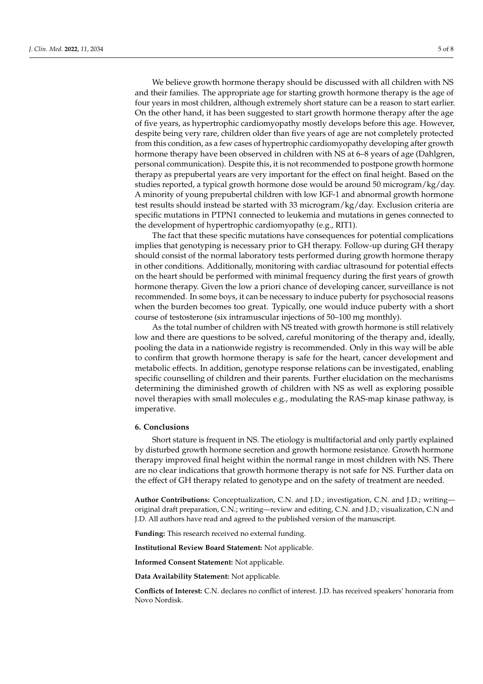We believe growth hormone therapy should be discussed with all children with NS and their families. The appropriate age for starting growth hormone therapy is the age of four years in most children, although extremely short stature can be a reason to start earlier. On the other hand, it has been suggested to start growth hormone therapy after the age of five years, as hypertrophic cardiomyopathy mostly develops before this age. However, despite being very rare, children older than five years of age are not completely protected from this condition, as a few cases of hypertrophic cardiomyopathy developing after growth hormone therapy have been observed in children with NS at 6–8 years of age (Dahlgren, personal communication). Despite this, it is not recommended to postpone growth hormone therapy as prepubertal years are very important for the effect on final height. Based on the studies reported, a typical growth hormone dose would be around 50 microgram/kg/day. A minority of young prepubertal children with low IGF-1 and abnormal growth hormone test results should instead be started with 33 microgram/kg/day. Exclusion criteria are specific mutations in PTPN1 connected to leukemia and mutations in genes connected to the development of hypertrophic cardiomyopathy (e.g., RIT1).

The fact that these specific mutations have consequences for potential complications implies that genotyping is necessary prior to GH therapy. Follow-up during GH therapy should consist of the normal laboratory tests performed during growth hormone therapy in other conditions. Additionally, monitoring with cardiac ultrasound for potential effects on the heart should be performed with minimal frequency during the first years of growth hormone therapy. Given the low a priori chance of developing cancer, surveillance is not recommended. In some boys, it can be necessary to induce puberty for psychosocial reasons when the burden becomes too great. Typically, one would induce puberty with a short course of testosterone (six intramuscular injections of 50–100 mg monthly).

As the total number of children with NS treated with growth hormone is still relatively low and there are questions to be solved, careful monitoring of the therapy and, ideally, pooling the data in a nationwide registry is recommended. Only in this way will be able to confirm that growth hormone therapy is safe for the heart, cancer development and metabolic effects. In addition, genotype response relations can be investigated, enabling specific counselling of children and their parents. Further elucidation on the mechanisms determining the diminished growth of children with NS as well as exploring possible novel therapies with small molecules e.g., modulating the RAS-map kinase pathway, is imperative.

### **6. Conclusions**

Short stature is frequent in NS. The etiology is multifactorial and only partly explained by disturbed growth hormone secretion and growth hormone resistance. Growth hormone therapy improved final height within the normal range in most children with NS. There are no clear indications that growth hormone therapy is not safe for NS. Further data on the effect of GH therapy related to genotype and on the safety of treatment are needed.

**Author Contributions:** Conceptualization, C.N. and J.D.; investigation, C.N. and J.D.; writing original draft preparation, C.N.; writing—review and editing, C.N. and J.D.; visualization, C.N and J.D. All authors have read and agreed to the published version of the manuscript.

**Funding:** This research received no external funding.

**Institutional Review Board Statement:** Not applicable.

**Informed Consent Statement:** Not applicable.

**Data Availability Statement:** Not applicable.

**Conflicts of Interest:** C.N. declares no conflict of interest. J.D. has received speakers' honoraria from Novo Nordisk.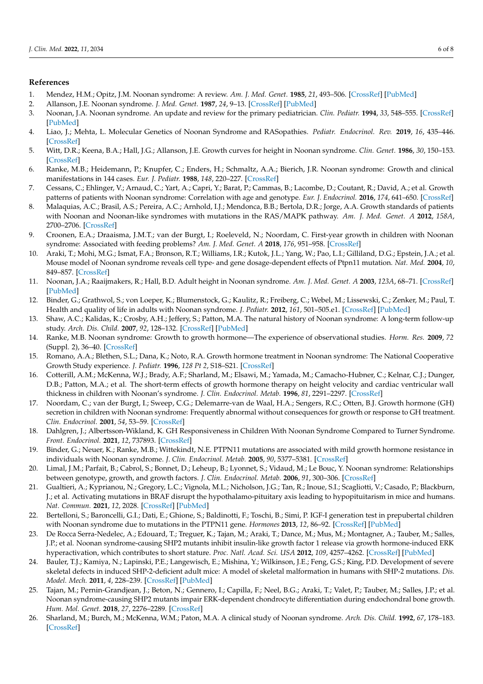## **References**

- <span id="page-5-0"></span>1. Mendez, H.M.; Opitz, J.M. Noonan syndrome: A review. *Am. J. Med. Genet.* **1985**, *21*, 493–506. [\[CrossRef\]](http://doi.org/10.1002/ajmg.1320210312) [\[PubMed\]](http://www.ncbi.nlm.nih.gov/pubmed/3895929)
- <span id="page-5-1"></span>2. Allanson, J.E. Noonan syndrome. *J. Med. Genet.* **1987**, *24*, 9–13. [\[CrossRef\]](http://doi.org/10.1136/jmg.24.1.9) [\[PubMed\]](http://www.ncbi.nlm.nih.gov/pubmed/3543368)
- <span id="page-5-2"></span>3. Noonan, J.A. Noonan syndrome. An update and review for the primary pediatrician. *Clin. Pediatr.* **1994**, *33*, 548–555. [\[CrossRef\]](http://doi.org/10.1177/000992289403300907) [\[PubMed\]](http://www.ncbi.nlm.nih.gov/pubmed/8001324)
- <span id="page-5-3"></span>4. Liao, J.; Mehta, L. Molecular Genetics of Noonan Syndrome and RASopathies. *Pediatr. Endocrinol. Rev.* **2019**, *16*, 435–446. [\[CrossRef\]](http://doi.org/10.17458/per.vol16.2019.lm.molecularnoonan)
- <span id="page-5-4"></span>5. Witt, D.R.; Keena, B.A.; Hall, J.G.; Allanson, J.E. Growth curves for height in Noonan syndrome. *Clin. Genet.* **1986**, *30*, 150–153. [\[CrossRef\]](http://doi.org/10.1111/j.1399-0004.1986.tb00587.x)
- <span id="page-5-5"></span>6. Ranke, M.B.; Heidemann, P.; Knupfer, C.; Enders, H.; Schmaltz, A.A.; Bierich, J.R. Noonan syndrome: Growth and clinical manifestations in 144 cases. *Eur. J. Pediatr.* **1988**, *148*, 220–227. [\[CrossRef\]](http://doi.org/10.1007/BF00441408)
- <span id="page-5-6"></span>7. Cessans, C.; Ehlinger, V.; Arnaud, C.; Yart, A.; Capri, Y.; Barat, P.; Cammas, B.; Lacombe, D.; Coutant, R.; David, A.; et al. Growth patterns of patients with Noonan syndrome: Correlation with age and genotype. *Eur. J. Endocrinol.* **2016**, *174*, 641–650. [\[CrossRef\]](http://doi.org/10.1530/EJE-15-0922)
- <span id="page-5-7"></span>8. Malaquias, A.C.; Brasil, A.S.; Pereira, A.C.; Arnhold, I.J.; Mendonca, B.B.; Bertola, D.R.; Jorge, A.A. Growth standards of patients with Noonan and Noonan-like syndromes with mutations in the RAS/MAPK pathway. *Am. J. Med. Genet. A* **2012**, *158A*, 2700–2706. [\[CrossRef\]](http://doi.org/10.1002/ajmg.a.35519)
- <span id="page-5-8"></span>9. Croonen, E.A.; Draaisma, J.M.T.; van der Burgt, I.; Roeleveld, N.; Noordam, C. First-year growth in children with Noonan syndrome: Associated with feeding problems? *Am. J. Med. Genet. A* **2018**, *176*, 951–958. [\[CrossRef\]](http://doi.org/10.1002/ajmg.a.38649)
- <span id="page-5-9"></span>10. Araki, T.; Mohi, M.G.; Ismat, F.A.; Bronson, R.T.; Williams, I.R.; Kutok, J.L.; Yang, W.; Pao, L.I.; Gilliland, D.G.; Epstein, J.A.; et al. Mouse model of Noonan syndrome reveals cell type- and gene dosage-dependent effects of Ptpn11 mutation. *Nat. Med.* **2004**, *10*, 849–857. [\[CrossRef\]](http://doi.org/10.1038/nm1084)
- <span id="page-5-10"></span>11. Noonan, J.A.; Raaijmakers, R.; Hall, B.D. Adult height in Noonan syndrome. *Am. J. Med. Genet. A* **2003**, *123A*, 68–71. [\[CrossRef\]](http://doi.org/10.1002/ajmg.a.20502) [\[PubMed\]](http://www.ncbi.nlm.nih.gov/pubmed/14556249)
- <span id="page-5-11"></span>12. Binder, G.; Grathwol, S.; von Loeper, K.; Blumenstock, G.; Kaulitz, R.; Freiberg, C.; Webel, M.; Lissewski, C.; Zenker, M.; Paul, T. Health and quality of life in adults with Noonan syndrome. *J. Pediatr.* **2012**, *161*, 501–505.e1. [\[CrossRef\]](http://doi.org/10.1016/j.jpeds.2012.02.043) [\[PubMed\]](http://www.ncbi.nlm.nih.gov/pubmed/22494877)
- <span id="page-5-12"></span>13. Shaw, A.C.; Kalidas, K.; Crosby, A.H.; Jeffery, S.; Patton, M.A. The natural history of Noonan syndrome: A long-term follow-up study. *Arch. Dis. Child.* **2007**, *92*, 128–132. [\[CrossRef\]](http://doi.org/10.1136/adc.2006.104547) [\[PubMed\]](http://www.ncbi.nlm.nih.gov/pubmed/16990350)
- <span id="page-5-13"></span>14. Ranke, M.B. Noonan syndrome: Growth to growth hormone—The experience of observational studies. *Horm. Res.* **2009**, *72* (Suppl. 2), 36–40. [\[CrossRef\]](http://doi.org/10.1159/000243777)
- <span id="page-5-14"></span>15. Romano, A.A.; Blethen, S.L.; Dana, K.; Noto, R.A. Growth hormone treatment in Noonan syndrome: The National Cooperative Growth Study experience. *J. Pediatr.* **1996**, *128 Pt 2*, S18–S21. [\[CrossRef\]](http://doi.org/10.1016/S0022-3476(96)70005-7)
- <span id="page-5-15"></span>16. Cotterill, A.M.; McKenna, W.J.; Brady, A.F.; Sharland, M.; Elsawi, M.; Yamada, M.; Camacho-Hubner, C.; Kelnar, C.J.; Dunger, D.B.; Patton, M.A.; et al. The short-term effects of growth hormone therapy on height velocity and cardiac ventricular wall thickness in children with Noonan's syndrome. *J. Clin. Endocrinol. Metab.* **1996**, *81*, 2291–2297. [\[CrossRef\]](http://doi.org/10.1210/jcem.81.6.8964866)
- <span id="page-5-16"></span>17. Noordam, C.; van der Burgt, I.; Sweep, C.G.; Delemarre-van de Waal, H.A.; Sengers, R.C.; Otten, B.J. Growth hormone (GH) secretion in children with Noonan syndrome: Frequently abnormal without consequences for growth or response to GH treatment. *Clin. Endocrinol.* **2001**, *54*, 53–59. [\[CrossRef\]](http://doi.org/10.1046/j.1365-2265.2001.01188.x)
- <span id="page-5-17"></span>18. Dahlgren, J.; Albertsson-Wikland, K. GH Responsiveness in Children With Noonan Syndrome Compared to Turner Syndrome. *Front. Endocrinol.* **2021**, *12*, 737893. [\[CrossRef\]](http://doi.org/10.3389/fendo.2021.737893)
- <span id="page-5-18"></span>19. Binder, G.; Neuer, K.; Ranke, M.B.; Wittekindt, N.E. PTPN11 mutations are associated with mild growth hormone resistance in individuals with Noonan syndrome. *J. Clin. Endocrinol. Metab.* **2005**, *90*, 5377–5381. [\[CrossRef\]](http://doi.org/10.1210/jc.2005-0995)
- <span id="page-5-19"></span>20. Limal, J.M.; Parfait, B.; Cabrol, S.; Bonnet, D.; Leheup, B.; Lyonnet, S.; Vidaud, M.; Le Bouc, Y. Noonan syndrome: Relationships between genotype, growth, and growth factors. *J. Clin. Endocrinol. Metab.* **2006**, *91*, 300–306. [\[CrossRef\]](http://doi.org/10.1210/jc.2005-0983)
- <span id="page-5-20"></span>21. Gualtieri, A.; Kyprianou, N.; Gregory, L.C.; Vignola, M.L.; Nicholson, J.G.; Tan, R.; Inoue, S.I.; Scagliotti, V.; Casado, P.; Blackburn, J.; et al. Activating mutations in BRAF disrupt the hypothalamo-pituitary axis leading to hypopituitarism in mice and humans. *Nat. Commun.* **2021**, *12*, 2028. [\[CrossRef\]](http://doi.org/10.1038/s41467-021-21712-4) [\[PubMed\]](http://www.ncbi.nlm.nih.gov/pubmed/33795686)
- <span id="page-5-21"></span>22. Bertelloni, S.; Baroncelli, G.I.; Dati, E.; Ghione, S.; Baldinotti, F.; Toschi, B.; Simi, P. IGF-I generation test in prepubertal children with Noonan syndrome due to mutations in the PTPN11 gene. *Hormones* **2013**, *12*, 86–92. [\[CrossRef\]](http://doi.org/10.1007/BF03401289) [\[PubMed\]](http://www.ncbi.nlm.nih.gov/pubmed/23624134)
- <span id="page-5-22"></span>23. De Rocca Serra-Nedelec, A.; Edouard, T.; Treguer, K.; Tajan, M.; Araki, T.; Dance, M.; Mus, M.; Montagner, A.; Tauber, M.; Salles, J.P.; et al. Noonan syndrome-causing SHP2 mutants inhibit insulin-like growth factor 1 release via growth hormone-induced ERK hyperactivation, which contributes to short stature. *Proc. Natl. Acad. Sci. USA* **2012**, *109*, 4257–4262. [\[CrossRef\]](http://doi.org/10.1073/pnas.1119803109) [\[PubMed\]](http://www.ncbi.nlm.nih.gov/pubmed/22371576)
- <span id="page-5-23"></span>24. Bauler, T.J.; Kamiya, N.; Lapinski, P.E.; Langewisch, E.; Mishina, Y.; Wilkinson, J.E.; Feng, G.S.; King, P.D. Development of severe skeletal defects in induced SHP-2-deficient adult mice: A model of skeletal malformation in humans with SHP-2 mutations. *Dis. Model. Mech.* **2011**, *4*, 228–239. [\[CrossRef\]](http://doi.org/10.1242/dmm.006130) [\[PubMed\]](http://www.ncbi.nlm.nih.gov/pubmed/21068439)
- <span id="page-5-24"></span>25. Tajan, M.; Pernin-Grandjean, J.; Beton, N.; Gennero, I.; Capilla, F.; Neel, B.G.; Araki, T.; Valet, P.; Tauber, M.; Salles, J.P.; et al. Noonan syndrome-causing SHP2 mutants impair ERK-dependent chondrocyte differentiation during endochondral bone growth. *Hum. Mol. Genet.* **2018**, *27*, 2276–2289. [\[CrossRef\]](http://doi.org/10.1093/hmg/ddy133)
- <span id="page-5-25"></span>26. Sharland, M.; Burch, M.; McKenna, W.M.; Paton, M.A. A clinical study of Noonan syndrome. *Arch. Dis. Child.* **1992**, *67*, 178–183. [\[CrossRef\]](http://doi.org/10.1136/adc.67.2.178)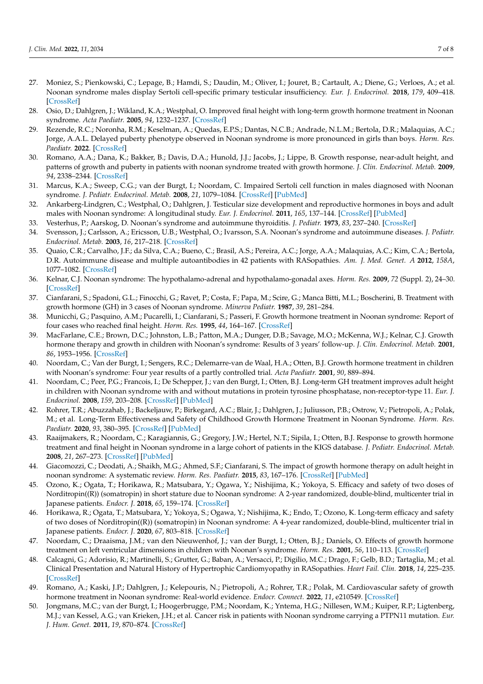- <span id="page-6-0"></span>27. Moniez, S.; Pienkowski, C.; Lepage, B.; Hamdi, S.; Daudin, M.; Oliver, I.; Jouret, B.; Cartault, A.; Diene, G.; Verloes, A.; et al. Noonan syndrome males display Sertoli cell-specific primary testicular insufficiency. *Eur. J. Endocrinol.* **2018**, *179*, 409–418. [\[CrossRef\]](http://doi.org/10.1530/EJE-18-0582)
- <span id="page-6-1"></span>28. Osio, D.; Dahlgren, J.; Wikland, K.A.; Westphal, O. Improved final height with long-term growth hormone treatment in Noonan syndrome. *Acta Paediatr.* **2005**, *94*, 1232–1237. [\[CrossRef\]](http://doi.org/10.1111/j.1651-2227.2005.tb02081.x)
- <span id="page-6-2"></span>29. Rezende, R.C.; Noronha, R.M.; Keselman, A.; Quedas, E.P.S.; Dantas, N.C.B.; Andrade, N.L.M.; Bertola, D.R.; Malaquias, A.C.; Jorge, A.A.L. Delayed puberty phenotype observed in Noonan syndrome is more pronounced in girls than boys. *Horm. Res. Paediatr.* **2022**. [\[CrossRef\]](http://doi.org/10.1159/000522670)
- <span id="page-6-3"></span>30. Romano, A.A.; Dana, K.; Bakker, B.; Davis, D.A.; Hunold, J.J.; Jacobs, J.; Lippe, B. Growth response, near-adult height, and patterns of growth and puberty in patients with noonan syndrome treated with growth hormone. *J. Clin. Endocrinol. Metab.* **2009**, *94*, 2338–2344. [\[CrossRef\]](http://doi.org/10.1210/jc.2008-2094)
- <span id="page-6-4"></span>31. Marcus, K.A.; Sweep, C.G.; van der Burgt, I.; Noordam, C. Impaired Sertoli cell function in males diagnosed with Noonan syndrome. *J. Pediatr. Endocrinol. Metab.* **2008**, *21*, 1079–1084. [\[CrossRef\]](http://doi.org/10.1515/JPEM.2008.21.11.1079) [\[PubMed\]](http://www.ncbi.nlm.nih.gov/pubmed/19189703)
- <span id="page-6-5"></span>32. Ankarberg-Lindgren, C.; Westphal, O.; Dahlgren, J. Testicular size development and reproductive hormones in boys and adult males with Noonan syndrome: A longitudinal study. *Eur. J. Endocrinol.* **2011**, *165*, 137–144. [\[CrossRef\]](http://doi.org/10.1530/EJE-11-0092) [\[PubMed\]](http://www.ncbi.nlm.nih.gov/pubmed/21551165)
- <span id="page-6-6"></span>33. Vesterhus, P.; Aarskog, D. Noonan's syndrome and autoimmune thyroiditis. *J. Pediatr.* **1973**, *83*, 237–240. [\[CrossRef\]](http://doi.org/10.1016/S0022-3476(73)80482-2)
- <span id="page-6-7"></span>34. Svensson, J.; Carlsson, A.; Ericsson, U.B.; Westphal, O.; Ivarsson, S.A. Noonan's syndrome and autoimmune diseases. *J. Pediatr. Endocrinol. Metab.* **2003**, *16*, 217–218. [\[CrossRef\]](http://doi.org/10.1515/JPEM.2003.16.2.217)
- <span id="page-6-8"></span>35. Quaio, C.R.; Carvalho, J.F.; da Silva, C.A.; Bueno, C.; Brasil, A.S.; Pereira, A.C.; Jorge, A.A.; Malaquias, A.C.; Kim, C.A.; Bertola, D.R. Autoimmune disease and multiple autoantibodies in 42 patients with RASopathies. *Am. J. Med. Genet. A* **2012**, *158A*, 1077–1082. [\[CrossRef\]](http://doi.org/10.1002/ajmg.a.35290)
- <span id="page-6-9"></span>36. Kelnar, C.J. Noonan syndrome: The hypothalamo-adrenal and hypothalamo-gonadal axes. *Horm. Res.* **2009**, *72* (Suppl. 2), 24–30. [\[CrossRef\]](http://doi.org/10.1159/000243775)
- <span id="page-6-10"></span>37. Cianfarani, S.; Spadoni, G.L.; Finocchi, G.; Ravet, P.; Costa, F.; Papa, M.; Scire, G.; Manca Bitti, M.L.; Boscherini, B. Treatment with growth hormone (GH) in 3 cases of Noonan syndrome. *Minerva Pediatr.* **1987**, *39*, 281–284.
- <span id="page-6-11"></span>38. Municchi, G.; Pasquino, A.M.; Pucarelli, I.; Cianfarani, S.; Passeri, F. Growth hormone treatment in Noonan syndrome: Report of four cases who reached final height. *Horm. Res.* **1995**, *44*, 164–167. [\[CrossRef\]](http://doi.org/10.1159/000184618)
- <span id="page-6-12"></span>39. MacFarlane, C.E.; Brown, D.C.; Johnston, L.B.; Patton, M.A.; Dunger, D.B.; Savage, M.O.; McKenna, W.J.; Kelnar, C.J. Growth hormone therapy and growth in children with Noonan's syndrome: Results of 3 years' follow-up. *J. Clin. Endocrinol. Metab.* **2001**, *86*, 1953–1956. [\[CrossRef\]](http://doi.org/10.1210/jcem.86.5.7468)
- <span id="page-6-13"></span>40. Noordam, C.; Van der Burgt, I.; Sengers, R.C.; Delemarre-van de Waal, H.A.; Otten, B.J. Growth hormone treatment in children with Noonan's syndrome: Four year results of a partly controlled trial. *Acta Paediatr.* **2001**, *90*, 889–894.
- <span id="page-6-14"></span>41. Noordam, C.; Peer, P.G.; Francois, I.; De Schepper, J.; van den Burgt, I.; Otten, B.J. Long-term GH treatment improves adult height in children with Noonan syndrome with and without mutations in protein tyrosine phosphatase, non-receptor-type 11. *Eur. J. Endocrinol.* **2008**, *159*, 203–208. [\[CrossRef\]](http://doi.org/10.1530/EJE-08-0413) [\[PubMed\]](http://www.ncbi.nlm.nih.gov/pubmed/18562489)
- <span id="page-6-15"></span>42. Rohrer, T.R.; Abuzzahab, J.; Backeljauw, P.; Birkegard, A.C.; Blair, J.; Dahlgren, J.; Juliusson, P.B.; Ostrow, V.; Pietropoli, A.; Polak, M.; et al. Long-Term Effectiveness and Safety of Childhood Growth Hormone Treatment in Noonan Syndrome. *Horm. Res. Paediatr.* **2020**, *93*, 380–395. [\[CrossRef\]](http://doi.org/10.1159/000512429) [\[PubMed\]](http://www.ncbi.nlm.nih.gov/pubmed/33440388)
- <span id="page-6-16"></span>43. Raaijmakers, R.; Noordam, C.; Karagiannis, G.; Gregory, J.W.; Hertel, N.T.; Sipila, I.; Otten, B.J. Response to growth hormone treatment and final height in Noonan syndrome in a large cohort of patients in the KIGS database. *J. Pediatr. Endocrinol. Metab.* **2008**, *21*, 267–273. [\[CrossRef\]](http://doi.org/10.1515/JPEM.2008.21.3.267) [\[PubMed\]](http://www.ncbi.nlm.nih.gov/pubmed/18540254)
- <span id="page-6-17"></span>44. Giacomozzi, C.; Deodati, A.; Shaikh, M.G.; Ahmed, S.F.; Cianfarani, S. The impact of growth hormone therapy on adult height in noonan syndrome: A systematic review. *Horm. Res. Paediatr.* **2015**, *83*, 167–176. [\[CrossRef\]](http://doi.org/10.1159/000371635) [\[PubMed\]](http://www.ncbi.nlm.nih.gov/pubmed/25721697)
- <span id="page-6-18"></span>45. Ozono, K.; Ogata, T.; Horikawa, R.; Matsubara, Y.; Ogawa, Y.; Nishijima, K.; Yokoya, S. Efficacy and safety of two doses of Norditropin((R)) (somatropin) in short stature due to Noonan syndrome: A 2-year randomized, double-blind, multicenter trial in Japanese patients. *Endocr. J.* **2018**, *65*, 159–174. [\[CrossRef\]](http://doi.org/10.1507/endocrj.EJ17-0313)
- <span id="page-6-19"></span>46. Horikawa, R.; Ogata, T.; Matsubara, Y.; Yokoya, S.; Ogawa, Y.; Nishijima, K.; Endo, T.; Ozono, K. Long-term efficacy and safety of two doses of Norditropin((R)) (somatropin) in Noonan syndrome: A 4-year randomized, double-blind, multicenter trial in Japanese patients. *Endocr. J.* **2020**, *67*, 803–818. [\[CrossRef\]](http://doi.org/10.1507/endocrj.EJ19-0371)
- <span id="page-6-20"></span>47. Noordam, C.; Draaisma, J.M.; van den Nieuwenhof, J.; van der Burgt, I.; Otten, B.J.; Daniels, O. Effects of growth hormone treatment on left ventricular dimensions in children with Noonan's syndrome. *Horm. Res.* **2001**, *56*, 110–113. [\[CrossRef\]](http://doi.org/10.1159/000048101)
- <span id="page-6-21"></span>48. Calcagni, G.; Adorisio, R.; Martinelli, S.; Grutter, G.; Baban, A.; Versacci, P.; Digilio, M.C.; Drago, F.; Gelb, B.D.; Tartaglia, M.; et al. Clinical Presentation and Natural History of Hypertrophic Cardiomyopathy in RASopathies. *Heart Fail. Clin.* **2018**, *14*, 225–235. [\[CrossRef\]](http://doi.org/10.1016/j.hfc.2017.12.005)
- <span id="page-6-22"></span>49. Romano, A.; Kaski, J.P.; Dahlgren, J.; Kelepouris, N.; Pietropoli, A.; Rohrer, T.R.; Polak, M. Cardiovascular safety of growth hormone treatment in Noonan syndrome: Real-world evidence. *Endocr. Connect.* **2022**, *11*, e210549. [\[CrossRef\]](http://doi.org/10.1530/EC-21-0549)
- <span id="page-6-23"></span>50. Jongmans, M.C.; van der Burgt, I.; Hoogerbrugge, P.M.; Noordam, K.; Yntema, H.G.; Nillesen, W.M.; Kuiper, R.P.; Ligtenberg, M.J.; van Kessel, A.G.; van Krieken, J.H.; et al. Cancer risk in patients with Noonan syndrome carrying a PTPN11 mutation. *Eur. J. Hum. Genet.* **2011**, *19*, 870–874. [\[CrossRef\]](http://doi.org/10.1038/ejhg.2011.37)